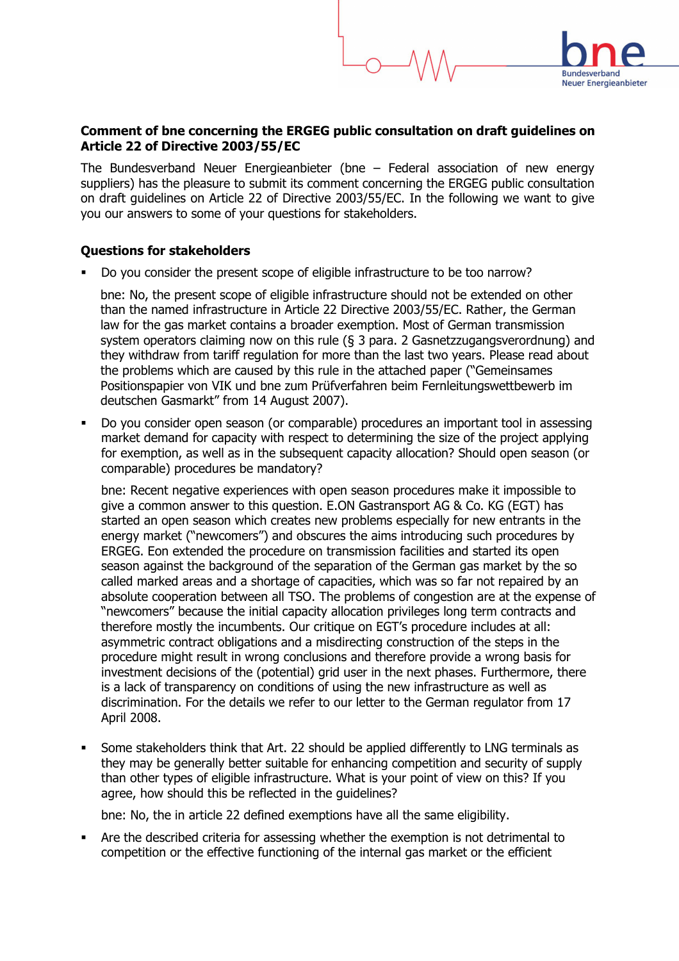## Comment of bne concerning the ERGEG public consultation on draft guidelines on Article 22 of Directive 2003/55/EC

**Neuer Energieanbieter** 

The Bundesverband Neuer Energieanbieter (bne – Federal association of new energy suppliers) has the pleasure to submit its comment concerning the ERGEG public consultation on draft guidelines on Article 22 of Directive 2003/55/EC. In the following we want to give you our answers to some of your questions for stakeholders.

## Questions for stakeholders

Do you consider the present scope of eligible infrastructure to be too narrow?

bne: No, the present scope of eligible infrastructure should not be extended on other than the named infrastructure in Article 22 Directive 2003/55/EC. Rather, the German law for the gas market contains a broader exemption. Most of German transmission system operators claiming now on this rule (§ 3 para. 2 Gasnetzzugangsverordnung) and they withdraw from tariff regulation for more than the last two years. Please read about the problems which are caused by this rule in the attached paper ("Gemeinsames Positionspapier von VIK und bne zum Prüfverfahren beim Fernleitungswettbewerb im deutschen Gasmarkt" from 14 August 2007).

 Do you consider open season (or comparable) procedures an important tool in assessing market demand for capacity with respect to determining the size of the project applying for exemption, as well as in the subsequent capacity allocation? Should open season (or comparable) procedures be mandatory?

bne: Recent negative experiences with open season procedures make it impossible to give a common answer to this question. E.ON Gastransport AG & Co. KG (EGT) has started an open season which creates new problems especially for new entrants in the energy market ("newcomers") and obscures the aims introducing such procedures by ERGEG. Eon extended the procedure on transmission facilities and started its open season against the background of the separation of the German gas market by the so called marked areas and a shortage of capacities, which was so far not repaired by an absolute cooperation between all TSO. The problems of congestion are at the expense of "newcomers" because the initial capacity allocation privileges long term contracts and therefore mostly the incumbents. Our critique on EGT's procedure includes at all: asymmetric contract obligations and a misdirecting construction of the steps in the procedure might result in wrong conclusions and therefore provide a wrong basis for investment decisions of the (potential) grid user in the next phases. Furthermore, there is a lack of transparency on conditions of using the new infrastructure as well as discrimination. For the details we refer to our letter to the German regulator from 17 April 2008.

 Some stakeholders think that Art. 22 should be applied differently to LNG terminals as they may be generally better suitable for enhancing competition and security of supply than other types of eligible infrastructure. What is your point of view on this? If you agree, how should this be reflected in the guidelines?

bne: No, the in article 22 defined exemptions have all the same eligibility.

 Are the described criteria for assessing whether the exemption is not detrimental to competition or the effective functioning of the internal gas market or the efficient